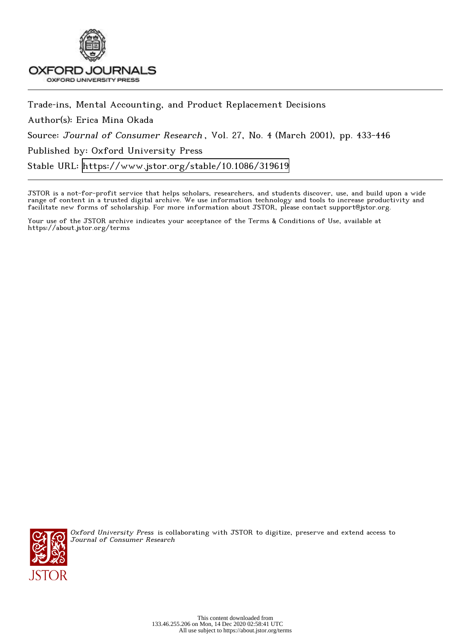

Trade‐ins, Mental Accounting, and Product Replacement Decisions Author(s): Erica Mina Okada Source: Journal of Consumer Research , Vol. 27, No. 4 (March 2001), pp. 433-446 Published by: Oxford University Press Stable URL:<https://www.jstor.org/stable/10.1086/319619>

JSTOR is a not-for-profit service that helps scholars, researchers, and students discover, use, and build upon a wide range of content in a trusted digital archive. We use information technology and tools to increase productivity and facilitate new forms of scholarship. For more information about JSTOR, please contact support@jstor.org.

Your use of the JSTOR archive indicates your acceptance of the Terms & Conditions of Use, available at https://about.jstor.org/terms



Oxford University Press is collaborating with JSTOR to digitize, preserve and extend access to Journal of Consumer Research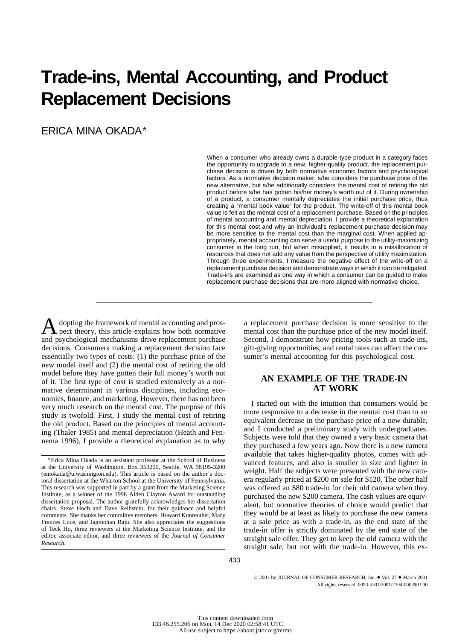# **Trade-ins, Mental Accounting, and Product Replacement Decisions**

ERICA MINA OKADA\*

When a consumer who already owns a durable-type product in a category faces the opportunity to upgrade to a new, higher-quality product, the replacement purchase decision is driven by both normative economic factors and psychological factors. As a normative decision maker, s/he considers the purchase price of the new alternative, but s/he additionally considers the mental cost of retiring the old product before s/he has gotten his/her money's worth out of it. During ownership of a product, a consumer mentally depreciates the initial purchase price, thus creating a "mental book value" for the product. The write-off of this mental book value is felt as the mental cost of a replacement purchase. Based on the principles of mental accounting and mental depreciation, I provide a theoretical explanation for this mental cost and why an individual's replacement purchase decision may be more sensitive to the mental cost than the marginal cost. When applied appropriately, mental accounting can serve a useful purpose to the utility-maximizing consumer in the long run, but when misapplied, it results in a misallocation of resources that does not add any value from the perspective of utility maximization. Through three experiments, I measure the negative effect of the write-off on a replacement purchase decision and demonstrate ways in which it can be mitigated. Trade-ins are examined as one way in which a consumer can be guided to make replacement purchase decisions that are more aligned with normative choice.

dopting the framework of mental accounting and prospect theory, this article explains how both normative and psychological mechanisms drive replacement purchase decisions. Consumers making a replacement decision face essentially two types of costs: (1) the purchase price of the new model itself and (2) the mental cost of retiring the old model before they have gotten their full money's worth out of it. The first type of cost is studied extensively as a normative determinant in various disciplines, including economics, finance, and marketing. However, there has not been very much research on the mental cost. The purpose of this study is twofold. First, I study the mental cost of retiring the old product. Based on the principles of mental accounting (Thaler 1985) and mental depreciation (Heath and Fennema 1996), I provide a theoretical explanation as to why

\*Erica Mina Okada is an assistant professor at the School of Business at the University of Washington, Box 353200, Seattle, WA 98195-3200 (emokada@u.washington.edu). This article is based on the author's doctoral dissertation at the Wharton School at the University of Pennsylvania. This research was supported in part by a grant from the Marketing Science Institute, as a winner of the 1998 Alden Clayton Award for outstanding dissertation proposal. The author gratefully acknowledges her dissertation chairs, Steve Hoch and Dave Reibstein, for their guidance and helpful comments. She thanks her committee members, Howard Kunreuther, Mary Frances Luce, and Jagmohan Raju. She also appreciates the suggestions of Teck Ho, three reviewers at the Marketing Science Institute, and the editor, associate editor, and three reviewers of the *Journal of Consumer Research*.

a replacement purchase decision is more sensitive to the mental cost than the purchase price of the new model itself. Second, I demonstrate how pricing tools such as trade-ins, gift-giving opportunities, and rental rates can affect the consumer's mental accounting for this psychological cost.

# **AN EXAMPLE OF THE TRADE-IN AT WORK**

I started out with the intuition that consumers would be more responsive to a decrease in the mental cost than to an equivalent decrease in the purchase price of a new durable, and I conducted a preliminary study with undergraduates. Subjects were told that they owned a very basic camera that they purchased a few years ago. Now there is a new camera available that takes higher-quality photos, comes with advanced features, and also is smaller in size and lighter in weight. Half the subjects were presented with the new camera regularly priced at \$200 on sale for \$120. The other half was offered an \$80 trade-in for their old camera when they purchased the new \$200 camera. The cash values are equivalent, but normative theories of choice would predict that they would be at least as likely to purchase the new camera at a sale price as with a trade-in, as the end state of the trade-in offer is strictly dominated by the end state of the straight sale offer. They get to keep the old camera with the straight sale, but not with the trade-in. However, this ex-

2001 by JOURNAL OF CONSUMER RESEARCH, Inc. ● Vol. 27 ● March 2001 All rights reserved. 0093-5301/2001/2704-0003\$03.00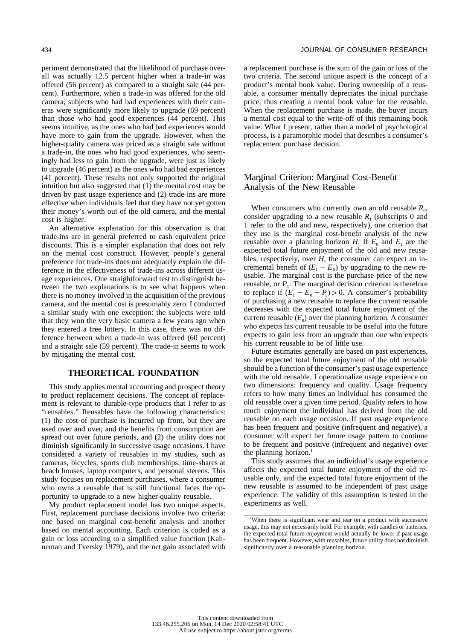periment demonstrated that the likelihood of purchase overall was actually 12.5 percent higher when a trade-in was offered (56 percent) as compared to a straight sale (44 percent). Furthermore, when a trade-in was offered for the old camera, subjects who had bad experiences with their cameras were significantly more likely to upgrade (69 percent) than those who had good experiences (44 percent). This seems intuitive, as the ones who had bad experiences would have more to gain from the upgrade. However, when the higher-quality camera was priced as a straight sale without a trade-in, the ones who had good experiences, who seemingly had less to gain from the upgrade, were just as likely to upgrade (46 percent) as the ones who had bad experiences (41 percent). These results not only supported the original intuition but also suggested that (1) the mental cost may be driven by past usage experience and (2) trade-ins are more effective when individuals feel that they have not yet gotten their money's worth out of the old camera, and the mental cost is higher.

An alternative explanation for this observation is that trade-ins are in general preferred to cash equivalent price discounts. This is a simpler explanation that does not rely on the mental cost construct. However, people's general preference for trade-ins does not adequately explain the difference in the effectiveness of trade-ins across different usage experiences. One straightforward test to distinguish between the two explanations is to see what happens when there is no money involved in the acquisition of the previous camera, and the mental cost is presumably zero. I conducted a similar study with one exception: the subjects were told that they won the very basic camera a few years ago when they entered a free lottery. In this case, there was no difference between when a trade-in was offered (60 percent) and a straight sale (59 percent). The trade-in seems to work by mitigating the mental cost.

# **THEORETICAL FOUNDATION**

This study applies mental accounting and prospect theory to product replacement decisions. The concept of replacement is relevant to durable-type products that I refer to as "reusables." Reusables have the following characteristics: (1) the cost of purchase is incurred up front, but they are used over and over, and the benefits from consumption are spread out over future periods, and (2) the utility does not diminish significantly in successive usage occasions. I have considered a variety of reusables in my studies, such as cameras, bicycles, sports club memberships, time-shares at beach houses, laptop computers, and personal stereos. This study focuses on replacement purchases, where a consumer who owns a reusable that is still functional faces the opportunity to upgrade to a new higher-quality reusable.

My product replacement model has two unique aspects. First, replacement purchase decisions involve two criteria: one based on marginal cost-benefit analysis and another based on mental accounting. Each criterion is coded as a gain or loss according to a simplified value function (Kahneman and Tversky 1979), and the net gain associated with

a replacement purchase is the sum of the gain or loss of the two criteria. The second unique aspect is the concept of a product's mental book value. During ownership of a reusable, a consumer mentally depreciates the initial purchase price, thus creating a mental book value for the reusable. When the replacement purchase is made, the buyer incurs a mental cost equal to the write-off of this remaining book value. What I present, rather than a model of psychological process, is a paramorphic model that describes a consumer's replacement purchase decision.

# Marginal Criterion: Marginal Cost-Benefit Analysis of the New Reusable

When consumers who currently own an old reusable  $R_0$ , consider upgrading to a new reusable  $R_1$  (subscripts 0 and 1 refer to the old and new, respectively), one criterion that they use is the marginal cost-benefit analysis of the new reusable over a planning horizon *H*. If  $E_0$  and  $E_1$  are the expected total future enjoyment of the old and new reusables, respectively, over *H*, the consumer can expect an incremental benefit of  $(E_1 - E_0)$  by upgrading to the new reusable. The marginal cost is the purchase price of the new reusable, or  $P_1$ . The marginal decision criterion is therefore to replace if  $(E_1 - E_0 - P_1) > 0$ . A consumer's probability of purchasing a new reusable to replace the current reusable decreases with the expected total future enjoyment of the current reusable  $(E_0)$  over the planning horizon. A consumer who expects his current reusable to be useful into the future expects to gain less from an upgrade than one who expects his current reusable to be of little use.

Future estimates generally are based on past experiences, so the expected total future enjoyment of the old reusable should be a function of the consumer's past usage experience with the old reusable. I operationalize usage experience on two dimensions: frequency and quality. Usage frequency refers to how many times an individual has consumed the old reusable over a given time period. Quality refers to how much enjoyment the individual has derived from the old reusable on each usage occasion. If past usage experience has been frequent and positive (infrequent and negative), a consumer will expect her future usage pattern to continue to be frequent and positive (infrequent and negative) over the planning horizon. $<sup>1</sup>$ </sup>

This study assumes that an individual's usage experience affects the expected total future enjoyment of the old reusable only, and the expected total future enjoyment of the new reusable is assumed to be independent of past usage experience. The validity of this assumption is tested in the experiments as well.

<sup>1</sup> When there is significant wear and tear on a product with successive usage, this may not necessarily hold. For example, with candles or batteries, the expected total future enjoyment would actually be lower if past usage has been frequent. However, with reusables, future utility does not diminish significantly over a reasonable planning horizon.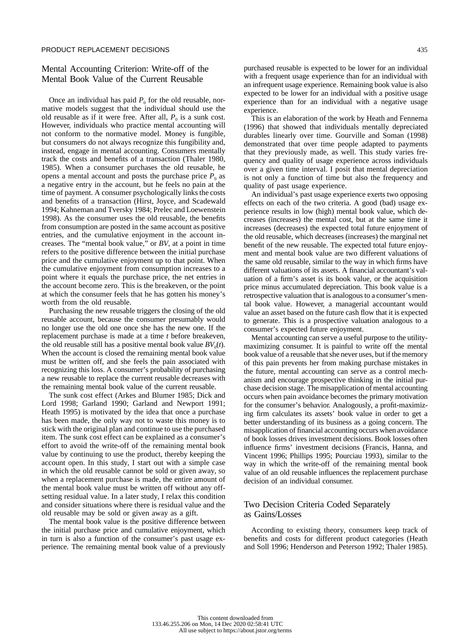# Mental Accounting Criterion: Write-off of the Mental Book Value of the Current Reusable

Once an individual has paid  $P_0$  for the old reusable, normative models suggest that the individual should use the old reusable as if it were free. After all,  $P_0$  is a sunk cost. However, individuals who practice mental accounting will not conform to the normative model. Money is fungible, but consumers do not always recognize this fungibility and, instead, engage in mental accounting. Consumers mentally track the costs and benefits of a transaction (Thaler 1980, 1985). When a consumer purchases the old reusable, he opens a mental account and posts the purchase price  $P_0$  as a negative entry in the account, but he feels no pain at the time of payment. A consumer psychologically links the costs and benefits of a transaction (Hirst, Joyce, and Scadewald 1994; Kahneman and Tversky 1984; Prelec and Loewenstein 1998). As the consumer uses the old reusable, the benefits from consumption are posted in the same account as positive entries, and the cumulative enjoyment in the account increases. The "mental book value," or *BV*, at a point in time refers to the positive difference between the initial purchase price and the cumulative enjoyment up to that point. When the cumulative enjoyment from consumption increases to a point where it equals the purchase price, the net entries in the account become zero. This is the breakeven, or the point at which the consumer feels that he has gotten his money's worth from the old reusable.

Purchasing the new reusable triggers the closing of the old reusable account, because the consumer presumably would no longer use the old one once she has the new one. If the replacement purchase is made at a time *t* before breakeven, the old reusable still has a positive mental book value  $BV_0(t)$ . When the account is closed the remaining mental book value must be written off, and she feels the pain associated with recognizing this loss. A consumer's probability of purchasing a new reusable to replace the current reusable decreases with the remaining mental book value of the current reusable.

The sunk cost effect (Arkes and Blumer 1985; Dick and Lord 1998; Garland 1990; Garland and Newport 1991; Heath 1995) is motivated by the idea that once a purchase has been made, the only way not to waste this money is to stick with the original plan and continue to use the purchased item. The sunk cost effect can be explained as a consumer's effort to avoid the write-off of the remaining mental book value by continuing to use the product, thereby keeping the account open. In this study, I start out with a simple case in which the old reusable cannot be sold or given away, so when a replacement purchase is made, the entire amount of the mental book value must be written off without any offsetting residual value. In a later study, I relax this condition and consider situations where there is residual value and the old reusable may be sold or given away as a gift.

The mental book value is the positive difference between the initial purchase price and cumulative enjoyment, which in turn is also a function of the consumer's past usage experience. The remaining mental book value of a previously

purchased reusable is expected to be lower for an individual with a frequent usage experience than for an individual with an infrequent usage experience. Remaining book value is also expected to be lower for an individual with a positive usage experience than for an individual with a negative usage experience.

This is an elaboration of the work by Heath and Fennema (1996) that showed that individuals mentally depreciated durables linearly over time. Gourville and Soman (1998) demonstrated that over time people adapted to payments that they previously made, as well. This study varies frequency and quality of usage experience across individuals over a given time interval. I posit that mental depreciation is not only a function of time but also the frequency and quality of past usage experience.

An individual's past usage experience exerts two opposing effects on each of the two criteria. A good (bad) usage experience results in low (high) mental book value, which decreases (increases) the mental cost, but at the same time it increases (decreases) the expected total future enjoyment of the old reusable, which decreases (increases) the marginal net benefit of the new reusable. The expected total future enjoyment and mental book value are two different valuations of the same old reusable, similar to the way in which firms have different valuations of its assets. A financial accountant's valuation of a firm's asset is its book value, or the acquisition price minus accumulated depreciation. This book value is a retrospective valuation that is analogous to a consumer's mental book value. However, a managerial accountant would value an asset based on the future cash flow that it is expected to generate. This is a prospective valuation analogous to a consumer's expected future enjoyment.

Mental accounting can serve a useful purpose to the utilitymaximizing consumer. It is painful to write off the mental book value of a reusable that she never uses, but if the memory of this pain prevents her from making purchase mistakes in the future, mental accounting can serve as a control mechanism and encourage prospective thinking in the initial purchase decision stage. The misapplication of mental accounting occurs when pain avoidance becomes the primary motivation for the consumer's behavior. Analogously, a profit-maximizing firm calculates its assets' book value in order to get a better understanding of its business as a going concern. The misapplication of financial accounting occurs when avoidance of book losses drives investment decisions. Book losses often influence firms' investment decisions (Francis, Hanna, and Vincent 1996; Phillips 1995; Pourciau 1993), similar to the way in which the write-off of the remaining mental book value of an old reusable influences the replacement purchase decision of an individual consumer.

# Two Decision Criteria Coded Separately as Gains/Losses

According to existing theory, consumers keep track of benefits and costs for different product categories (Heath and Soll 1996; Henderson and Peterson 1992; Thaler 1985).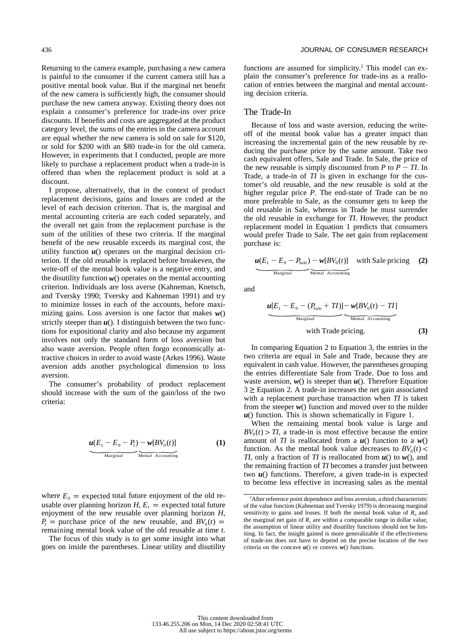Returning to the camera example, purchasing a new camera is painful to the consumer if the current camera still has a positive mental book value. But if the marginal net benefit of the new camera is sufficiently high, the consumer should purchase the new camera anyway. Existing theory does not explain a consumer's preference for trade-ins over price discounts. If benefits and costs are aggregated at the product category level, the sums of the entries in the camera account are equal whether the new camera is sold on sale for \$120, or sold for \$200 with an \$80 trade-in for the old camera. However, in experiments that I conducted, people are more likely to purchase a replacement product when a trade-in is offered than when the replacement product is sold at a discount.

I propose, alternatively, that in the context of product replacement decisions, gains and losses are coded at the level of each decision criterion. That is, the marginal and mental accounting criteria are each coded separately, and the overall net gain from the replacement purchase is the sum of the utilities of these two criteria. If the marginal benefit of the new reusable exceeds its marginal cost, the utility function  $u()$  operates on the marginal decision criterion. If the old reusable is replaced before breakeven, the write-off of the mental book value is a negative entry, and the disutility function  $w()$  operates on the mental accounting criterion. Individuals are loss averse (Kahneman, Knetsch, and Tversky 1990; Tversky and Kahneman 1991) and try to minimize losses in each of the accounts, before maximizing gains. Loss aversion is one factor that makes  $w()$ strictly steeper than  $\mathbf{u}$ (). I distinguish between the two functions for expositional clarity and also because my argument involves not only the standard form of loss aversion but also waste aversion. People often forgo economically attractive choices in order to avoid waste (Arkes 1996). Waste aversion adds another psychological dimension to loss aversion.

The consumer's probability of product replacement should increase with the sum of the gain/loss of the two criteria:

$$
\underbrace{u(E_1 - E_0 - P_1) - w[BV_0(t)]}_{\text{Marginal}} \qquad (1)
$$

where  $E_0$  = expected total future enjoyment of the old reusable over planning horizon  $H, E_1$  = expected total future enjoyment of the new reusable over planning horizon *H*,  $P_1$  = purchase price of the new reusable, and  $BV_0(t)$  = remaining mental book value of the old reusable at time *t*.

The focus of this study is to get some insight into what goes on inside the parentheses. Linear utility and disutility

functions are assumed for simplicity.<sup>2</sup> This model can explain the consumer's preference for trade-ins as a reallocation of entries between the marginal and mental accounting decision criteria.

# The Trade-In

Because of loss and waste aversion, reducing the writeoff of the mental book value has a greater impact than increasing the incremental gain of the new reusable by reducing the purchase price by the same amount. Take two cash equivalent offers, Sale and Trade. In Sale, the price of the new reusable is simply discounted from *P* to  $P - TI$ . In Trade, a trade-in of *TI* is given in exchange for the customer's old reusable, and the new reusable is sold at the higher regular price *P*. The end-state of Trade can be no more preferable to Sale, as the consumer gets to keep the old reusable in Sale, whereas in Trade he must surrender the old reusable in exchange for *TI*. However, the product replacement model in Equation 1 predicts that consumers replacement model in Equation 1 predicts that consumers<br>would prefer Trade to Sale. The net gain from replacement<br>purchase is:<br> $u(E_1 - E_0 - P_{\text{Sale}}) - w[BV_0(t)]$  with Sale pricing **(2)**<br>Marginal Mental Accounting purchase is:

chase is:  
\n
$$
u(E_1 - E_0 - P_{\text{Sale}}) - w[BV_0(t)] \text{ with Sale pricing (2)}
$$
\n
$$
\underbrace{u(E_1 - E_0 - P_{\text{Sale}})}_{\text{Marginal}} \underbrace{\text{Mental According}}_{\text{Aecounding}}
$$

and

$$
\underbrace{L_{1} - E_{0} - P_{\text{Sale}}}_{\text{Marginal}}) - w[BV_{0}(t)]}_{\text{Marginal}} \quad \text{with Sale pricing} \quad (2)
$$
\n
$$
u[E_{1} - E_{0} - (P_{\text{Sale}} + TI)] - w[BV_{0}(t) - TI]
$$
\n
$$
W_{\text{Marginal}} \quad \text{Marginal}
$$
\n
$$
W_{\text{Marginal}} \quad \text{Mendal.}
$$
\n
$$
(3)
$$

In comparing Equation 2 to Equation 3, the entries in the two criteria are equal in Sale and Trade, because they are equivalent in cash value. However, the parentheses grouping the entries differentiate Sale from Trade. Due to loss and waste aversion,  $w()$  is steeper than  $u()$ . Therefore Equation  $3 \geq$  Equation 2. A trade-in increases the net gain associated with a replacement purchase transaction when *TI* is taken from the steeper  $w()$  function and moved over to the milder *u*() function. This is shown schematically in Figure 1.

When the remaining mental book value is large and  $BV_0(t) > TI$ , a trade-in is most effective because the entire amount of *TI* is reallocated from a  $u$ () function to a  $w$ () function. As the mental book value decreases to  $BV_0(t)$  < *TI*, only a fraction of *TI* is reallocated from  $u()$  to  $w()$ , and the remaining fraction of *TI* becomes a transfer just between two  $u()$  functions. Therefore, a given trade-in is expected to become less effective in increasing sales as the mental

<sup>&</sup>lt;sup>2</sup>After reference point dependence and loss aversion, a third characteristic of the value function (Kahneman and Tversky 1979) is decreasing marginal sensitivity to gains and losses. If both the mental book value of  $R_0$  and the marginal net gain of  $R_1$  are within a comparable range in dollar value, the assumption of linear utility and disutility functions should not be limiting. In fact, the insight gained is more generalizable if the effectiveness of trade-ins does not have to depend on the precise location of the two criteria on the concave  $u()$  or convex  $w()$  functions.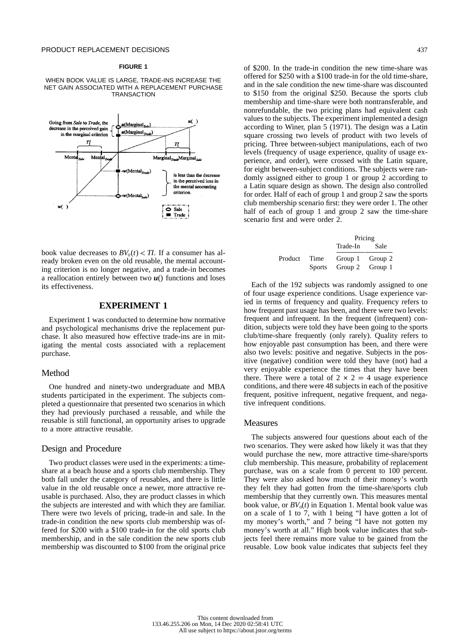#### **FIGURE 1**

WHEN BOOK VALUE IS LARGE, TRADE-INS INCREASE THE NET GAIN ASSOCIATED WITH A REPLACEMENT PURCHASE **TRANSACTION** 



book value decreases to  $BV_0(t) < TI$ . If a consumer has already broken even on the old reusable, the mental accounting criterion is no longer negative, and a trade-in becomes a reallocation entirely between two  $u()$  functions and loses its effectiveness.

# **EXPERIMENT 1**

Experiment 1 was conducted to determine how normative and psychological mechanisms drive the replacement purchase. It also measured how effective trade-ins are in mitigating the mental costs associated with a replacement purchase.

## Method

One hundred and ninety-two undergraduate and MBA students participated in the experiment. The subjects completed a questionnaire that presented two scenarios in which they had previously purchased a reusable, and while the reusable is still functional, an opportunity arises to upgrade to a more attractive reusable.

# Design and Procedure

Two product classes were used in the experiments: a timeshare at a beach house and a sports club membership. They both fall under the category of reusables, and there is little value in the old reusable once a newer, more attractive reusable is purchased. Also, they are product classes in which the subjects are interested and with which they are familiar. There were two levels of pricing, trade-in and sale. In the trade-in condition the new sports club membership was offered for \$200 with a \$100 trade-in for the old sports club membership, and in the sale condition the new sports club membership was discounted to \$100 from the original price

of \$200. In the trade-in condition the new time-share was offered for \$250 with a \$100 trade-in for the old time-share, and in the sale condition the new time-share was discounted to \$150 from the original \$250. Because the sports club membership and time-share were both nontransferable, and nonrefundable, the two pricing plans had equivalent cash values to the subjects. The experiment implemented a design according to Winer, plan 5 (1971). The design was a Latin square crossing two levels of product with two levels of pricing. Three between-subject manipulations, each of two levels (frequency of usage experience, quality of usage experience, and order), were crossed with the Latin square, for eight between-subject conditions. The subjects were randomly assigned either to group 1 or group 2 according to a Latin square design as shown. The design also controlled for order. Half of each of group 1 and group 2 saw the sports club membership scenario first: they were order 1. The other half of each of group 1 and group 2 saw the time-share scenario first and were order 2.

|              | Pricing                |             |
|--------------|------------------------|-------------|
|              | Trade-In               | <b>Sale</b> |
| Product Time | Group 1 Group 2        |             |
|              | Sports Group 2 Group 1 |             |

Each of the 192 subjects was randomly assigned to one of four usage experience conditions. Usage experience varied in terms of frequency and quality. Frequency refers to how frequent past usage has been, and there were two levels: frequent and infrequent. In the frequent (infrequent) condition, subjects were told they have been going to the sports club/time-share frequently (only rarely). Quality refers to how enjoyable past consumption has been, and there were also two levels: positive and negative. Subjects in the positive (negative) condition were told they have (not) had a very enjoyable experience the times that they have been there. There were a total of  $2 \times 2 = 4$  usage experience conditions, and there were 48 subjects in each of the positive frequent, positive infrequent, negative frequent, and negative infrequent conditions.

# Measures

The subjects answered four questions about each of the two scenarios. They were asked how likely it was that they would purchase the new, more attractive time-share/sports club membership. This measure, probability of replacement purchase, was on a scale from 0 percent to 100 percent. They were also asked how much of their money's worth they felt they had gotten from the time-share/sports club membership that they currently own. This measures mental book value, or  $BV_0(t)$  in Equation 1. Mental book value was on a scale of 1 to 7, with 1 being "I have gotten a lot of my money's worth," and 7 being "I have not gotten my money's worth at all." High book value indicates that subjects feel there remains more value to be gained from the reusable. Low book value indicates that subjects feel they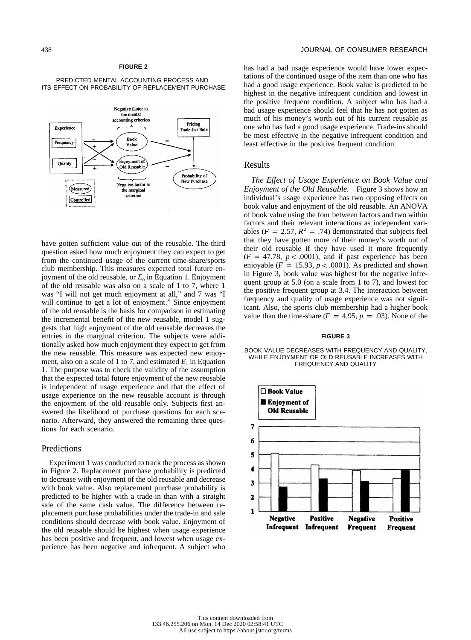## **FIGURE 2**





have gotten sufficient value out of the reusable. The third question asked how much enjoyment they can expect to get from the continued usage of the current time-share/sports club membership. This measures expected total future enjoyment of the old reusable, or  $E_0$  in Equation 1. Enjoyment of the old reusable was also on a scale of 1 to 7, where 1 was "I will not get much enjoyment at all," and 7 was "I will continue to get a lot of enjoyment." Since enjoyment of the old reusable is the basis for comparison in estimating the incremental benefit of the new reusable, model 1 suggests that high enjoyment of the old reusable decreases the entries in the marginal criterion. The subjects were additionally asked how much enjoyment they expect to get from the new reusable. This measure was expected new enjoyment, also on a scale of 1 to 7, and estimated  $E_1$  in Equation 1. The purpose was to check the validity of the assumption that the expected total future enjoyment of the new reusable is independent of usage experience and that the effect of usage experience on the new reusable account is through the enjoyment of the old reusable only. Subjects first answered the likelihood of purchase questions for each scenario. Afterward, they answered the remaining three questions for each scenario.

# **Predictions**

Experiment 1 was conducted to track the process as shown in Figure 2. Replacement purchase probability is predicted to decrease with enjoyment of the old reusable and decrease with book value. Also replacement purchase probability is predicted to be higher with a trade-in than with a straight sale of the same cash value. The difference between replacement purchase probabilities under the trade-in and sale conditions should decrease with book value. Enjoyment of the old reusable should be highest when usage experience has been positive and frequent, and lowest when usage experience has been negative and infrequent. A subject who

has had a bad usage experience would have lower expectations of the continued usage of the item than one who has had a good usage experience. Book value is predicted to be highest in the negative infrequent condition and lowest in the positive frequent condition. A subject who has had a bad usage experience should feel that he has not gotten as much of his money's worth out of his current reusable as one who has had a good usage experience. Trade-ins should be most effective in the negative infrequent condition and least effective in the positive frequent condition.

# Results

*The Effect of Usage Experience on Book Value and Enjoyment of the Old Reusable.* Figure 3 shows how an individual's usage experience has two opposing effects on book value and enjoyment of the old reusable. An ANOVA of book value using the four between factors and two within factors and their relevant interactions as independent variables ( $F = 2.57$ ,  $R^2 = .74$ ) demonstrated that subjects feel that they have gotten more of their money's worth out of their old reusable if they have used it more frequently  $(F = 47.78, p < .0001)$ , and if past experience has been enjoyable ( $F = 15.93$ ,  $p < .0001$ ). As predicted and shown in Figure 3, book value was highest for the negative infrequent group at 5.0 (on a scale from 1 to 7), and lowest for the positive frequent group at 3.4. The interaction between frequency and quality of usage experience was not significant. Also, the sports club membership had a higher book value than the time-share  $(F = 4.95, p = .03)$ . None of the

#### **FIGURE 3**

BOOK VALUE DECREASES WITH FREQUENCY AND QUALITY, WHILE ENJOYMENT OF OLD REUSABLE INCREASES WITH FREQUENCY AND QUALITY

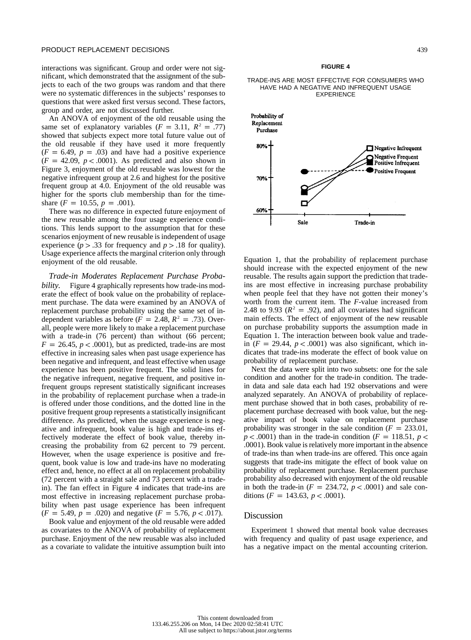interactions was significant. Group and order were not significant, which demonstrated that the assignment of the subjects to each of the two groups was random and that there were no systematic differences in the subjects' responses to questions that were asked first versus second. These factors, group and order, are not discussed further.

An ANOVA of enjoyment of the old reusable using the same set of explanatory variables  $(F = 3.11, R^2 = .77)$ showed that subjects expect more total future value out of the old reusable if they have used it more frequently  $(F = 6.49, p = .03)$  and have had a positive experience  $(F = 42.09, p < .0001)$ . As predicted and also shown in Figure 3, enjoyment of the old reusable was lowest for the negative infrequent group at 2.6 and highest for the positive frequent group at 4.0. Enjoyment of the old reusable was higher for the sports club membership than for the timeshare  $(F = 10.55, p = .001)$ .

There was no difference in expected future enjoyment of the new reusable among the four usage experience conditions. This lends support to the assumption that for these scenarios enjoyment of new reusable is independent of usage experience ( $p > .33$  for frequency and  $p > .18$  for quality). Usage experience affects the marginal criterion only through enjoyment of the old reusable.

*Trade-in Moderates Replacement Purchase Probability.* Figure 4 graphically represents how trade-ins moderate the effect of book value on the probability of replacement purchase. The data were examined by an ANOVA of replacement purchase probability using the same set of independent variables as before ( $F = 2.48$ ,  $R^2 = .73$ ). Overall, people were more likely to make a replacement purchase with a trade-in (76 percent) than without (66 percent;  $F = 26.45$ ,  $p < .0001$ ), but as predicted, trade-ins are most effective in increasing sales when past usage experience has been negative and infrequent, and least effective when usage experience has been positive frequent. The solid lines for the negative infrequent, negative frequent, and positive infrequent groups represent statistically significant increases in the probability of replacement purchase when a trade-in is offered under those conditions, and the dotted line in the positive frequent group represents a statistically insignificant difference. As predicted, when the usage experience is negative and infrequent, book value is high and trade-ins effectively moderate the effect of book value, thereby increasing the probability from 62 percent to 79 percent. However, when the usage experience is positive and frequent, book value is low and trade-ins have no moderating effect and, hence, no effect at all on replacement probability (72 percent with a straight sale and 73 percent with a tradein). The fan effect in Figure 4 indicates that trade-ins are most effective in increasing replacement purchase probability when past usage experience has been infrequent  $(F = 5.49, p = .020)$  and negative  $(F = 5.76, p < .017)$ .

Book value and enjoyment of the old reusable were added as covariates to the ANOVA of probability of replacement purchase. Enjoyment of the new reusable was also included as a covariate to validate the intuitive assumption built into

#### **FIGURE 4**

#### TRADE-INS ARE MOST EFFECTIVE FOR CONSUMERS WHO HAVE HAD A NEGATIVE AND INFREQUENT USAGE EXPERIENCE



Equation 1, that the probability of replacement purchase should increase with the expected enjoyment of the new reusable. The results again support the prediction that tradeins are most effective in increasing purchase probability when people feel that they have not gotten their money's worth from the current item. The *F*-value increased from 2.48 to 9.93 ( $R^2 = .92$ ), and all covariates had significant main effects. The effect of enjoyment of the new reusable on purchase probability supports the assumption made in Equation 1. The interaction between book value and tradein  $(F = 29.44, p < .0001)$  was also significant, which indicates that trade-ins moderate the effect of book value on probability of replacement purchase.

Next the data were split into two subsets: one for the sale condition and another for the trade-in condition. The tradein data and sale data each had 192 observations and were analyzed separately. An ANOVA of probability of replacement purchase showed that in both cases, probability of replacement purchase decreased with book value, but the negative impact of book value on replacement purchase probability was stronger in the sale condition  $(F = 233.01,$  $p < .0001$ ) than in the trade-in condition ( $F = 118.51$ ,  $p < .0001$ ) .0001). Book value is relatively more important in the absence of trade-ins than when trade-ins are offered. This once again suggests that trade-ins mitigate the effect of book value on probability of replacement purchase. Replacement purchase probability also decreased with enjoyment of the old reusable in both the trade-in  $(F = 234.72, p < .0001)$  and sale conditions ( $F = 143.63$ ,  $p < .0001$ ).

## Discussion

Experiment 1 showed that mental book value decreases with frequency and quality of past usage experience, and has a negative impact on the mental accounting criterion.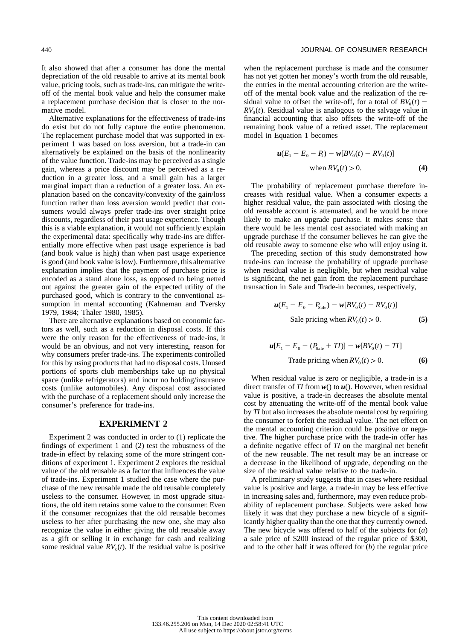It also showed that after a consumer has done the mental depreciation of the old reusable to arrive at its mental book value, pricing tools, such as trade-ins, can mitigate the writeoff of the mental book value and help the consumer make a replacement purchase decision that is closer to the normative model.

Alternative explanations for the effectiveness of trade-ins do exist but do not fully capture the entire phenomenon. The replacement purchase model that was supported in experiment 1 was based on loss aversion, but a trade-in can alternatively be explained on the basis of the nonlinearity of the value function. Trade-ins may be perceived as a single gain, whereas a price discount may be perceived as a reduction in a greater loss, and a small gain has a larger marginal impact than a reduction of a greater loss. An explanation based on the concavity/convexity of the gain/loss function rather than loss aversion would predict that consumers would always prefer trade-ins over straight price discounts, regardless of their past usage experience. Though this is a viable explanation, it would not sufficiently explain the experimental data: specifically why trade-ins are differentially more effective when past usage experience is bad (and book value is high) than when past usage experience is good (and book value is low). Furthermore, this alternative explanation implies that the payment of purchase price is encoded as a stand alone loss, as opposed to being netted out against the greater gain of the expected utility of the purchased good, which is contrary to the conventional assumption in mental accounting (Kahneman and Tversky 1979, 1984; Thaler 1980, 1985).

There are alternative explanations based on economic factors as well, such as a reduction in disposal costs. If this were the only reason for the effectiveness of trade-ins, it would be an obvious, and not very interesting, reason for why consumers prefer trade-ins. The experiments controlled for this by using products that had no disposal costs. Unused portions of sports club memberships take up no physical space (unlike refrigerators) and incur no holding/insurance costs (unlike automobiles). Any disposal cost associated with the purchase of a replacement should only increase the consumer's preference for trade-ins.

## **EXPERIMENT 2**

Experiment 2 was conducted in order to (1) replicate the findings of experiment 1 and (2) test the robustness of the trade-in effect by relaxing some of the more stringent conditions of experiment 1. Experiment 2 explores the residual value of the old reusable as a factor that influences the value of trade-ins. Experiment 1 studied the case where the purchase of the new reusable made the old reusable completely useless to the consumer. However, in most upgrade situations, the old item retains some value to the consumer. Even if the consumer recognizes that the old reusable becomes useless to her after purchasing the new one, she may also recognize the value in either giving the old reusable away as a gift or selling it in exchange for cash and realizing some residual value  $RV_0(t)$ . If the residual value is positive

when the replacement purchase is made and the consumer has not yet gotten her money's worth from the old reusable, the entries in the mental accounting criterion are the writeoff of the mental book value and the realization of the residual value to offset the write-off, for a total of  $BV_0(t)$  $RV_0(t)$ . Residual value is analogous to the salvage value in financial accounting that also offsets the write-off of the remaining book value of a retired asset. The replacement model in Equation 1 becomes

$$
u(E_1 - E_0 - P_1) - w[BV_0(t) - RV_0(t)]
$$
  
when  $RV_0(t) > 0$ . (4)

The probability of replacement purchase therefore increases with residual value. When a consumer expects a higher residual value, the pain associated with closing the old reusable account is attenuated, and he would be more likely to make an upgrade purchase. It makes sense that there would be less mental cost associated with making an upgrade purchase if the consumer believes he can give the old reusable away to someone else who will enjoy using it.

The preceding section of this study demonstrated how trade-ins can increase the probability of upgrade purchase when residual value is negligible, but when residual value is significant, the net gain from the replacement purchase transaction in Sale and Trade-in becomes, respectively,

$$
\mathbf{u}(E_1 - E_0 - P_{\text{Sale}}) - \mathbf{w}[BV_0(t) - RV_0(t)]
$$
  
Sale pricing when  $RV_0(t) > 0$ . (5)

$$
\boldsymbol{u}[E_1 - E_0 - (P_{\text{safe}} + TI)] - \boldsymbol{w}[BV_0(t) - TI]
$$
  
Trade pricing when 
$$
RV_0(t) > 0.
$$
 (6)

When residual value is zero or negligible, a trade-in is a direct transfer of *TI* from  $w()$  to  $u()$ . However, when residual value is positive, a trade-in decreases the absolute mental cost by attenuating the write-off of the mental book value by *TI* but also increases the absolute mental cost by requiring the consumer to forfeit the residual value. The net effect on the mental accounting criterion could be positive or negative. The higher purchase price with the trade-in offer has a definite negative effect of *TI* on the marginal net benefit of the new reusable. The net result may be an increase or a decrease in the likelihood of upgrade, depending on the size of the residual value relative to the trade-in.

A preliminary study suggests that in cases where residual value is positive and large, a trade-in may be less effective in increasing sales and, furthermore, may even reduce probability of replacement purchase. Subjects were asked how likely it was that they purchase a new bicycle of a significantly higher quality than the one that they currently owned. The new bicycle was offered to half of the subjects for (*a*) a sale price of \$200 instead of the regular price of \$300, and to the other half it was offered for (*b*) the regular price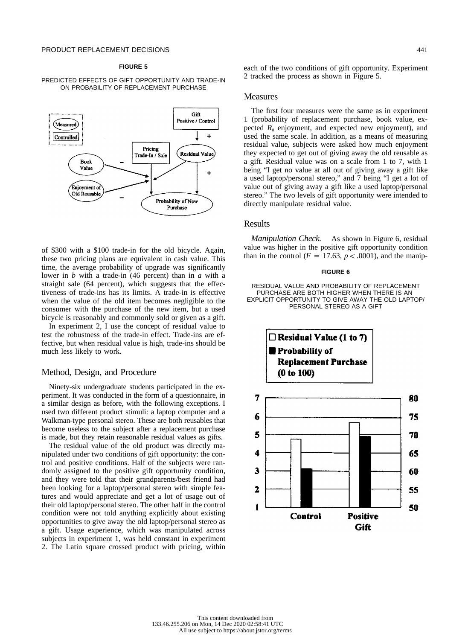#### **FIGURE 5**

#### PREDICTED EFFECTS OF GIFT OPPORTUNITY AND TRADE-IN ON PROBABILITY OF REPLACEMENT PURCHASE



of \$300 with a \$100 trade-in for the old bicycle. Again, these two pricing plans are equivalent in cash value. This time, the average probability of upgrade was significantly lower in *b* with a trade-in (46 percent) than in *a* with a straight sale (64 percent), which suggests that the effectiveness of trade-ins has its limits. A trade-in is effective when the value of the old item becomes negligible to the consumer with the purchase of the new item, but a used bicycle is reasonably and commonly sold or given as a gift.

In experiment 2, I use the concept of residual value to test the robustness of the trade-in effect. Trade-ins are effective, but when residual value is high, trade-ins should be much less likely to work.

## Method, Design, and Procedure

Ninety-six undergraduate students participated in the experiment. It was conducted in the form of a questionnaire, in a similar design as before, with the following exceptions. I used two different product stimuli: a laptop computer and a Walkman-type personal stereo. These are both reusables that become useless to the subject after a replacement purchase is made, but they retain reasonable residual values as gifts.

The residual value of the old product was directly manipulated under two conditions of gift opportunity: the control and positive conditions. Half of the subjects were randomly assigned to the positive gift opportunity condition, and they were told that their grandparents/best friend had been looking for a laptop/personal stereo with simple features and would appreciate and get a lot of usage out of their old laptop/personal stereo. The other half in the control condition were not told anything explicitly about existing opportunities to give away the old laptop/personal stereo as a gift. Usage experience, which was manipulated across subjects in experiment 1, was held constant in experiment 2. The Latin square crossed product with pricing, within each of the two conditions of gift opportunity. Experiment 2 tracked the process as shown in Figure 5.

# **Measures**

The first four measures were the same as in experiment 1 (probability of replacement purchase, book value, expected  $R_0$  enjoyment, and expected new enjoyment), and used the same scale. In addition, as a means of measuring residual value, subjects were asked how much enjoyment they expected to get out of giving away the old reusable as a gift. Residual value was on a scale from 1 to 7, with 1 being "I get no value at all out of giving away a gift like a used laptop/personal stereo," and 7 being "I get a lot of value out of giving away a gift like a used laptop/personal stereo." The two levels of gift opportunity were intended to directly manipulate residual value.

## Results

*Manipulation Check.* As shown in Figure 6, residual value was higher in the positive gift opportunity condition than in the control ( $F = 17.63$ ,  $p < .0001$ ), and the manip-

#### **FIGURE 6**

RESIDUAL VALUE AND PROBABILITY OF REPLACEMENT PURCHASE ARE BOTH HIGHER WHEN THERE IS AN EXPLICIT OPPORTUNITY TO GIVE AWAY THE OLD LAPTOP/ PERSONAL STEREO AS A GIFT

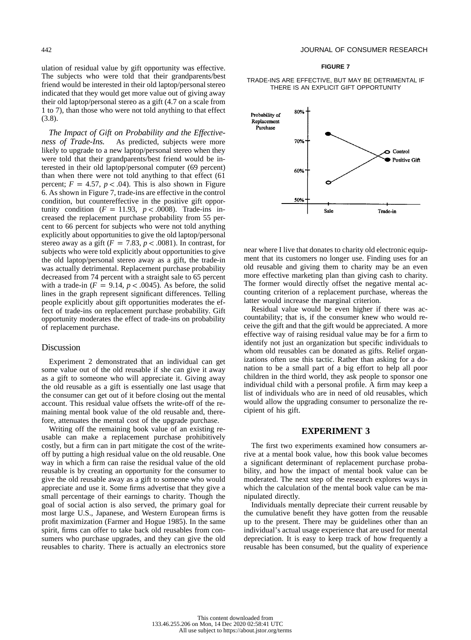ulation of residual value by gift opportunity was effective. The subjects who were told that their grandparents/best friend would be interested in their old laptop/personal stereo indicated that they would get more value out of giving away their old laptop/personal stereo as a gift (4.7 on a scale from 1 to 7), than those who were not told anything to that effect (3.8).

*The Impact of Gift on Probability and the Effectiveness of Trade-Ins.* As predicted, subjects were more likely to upgrade to a new laptop/personal stereo when they were told that their grandparents/best friend would be interested in their old laptop/personal computer (69 percent) than when there were not told anything to that effect (61 percent;  $F = 4.57$ ,  $p < .04$ ). This is also shown in Figure 6. As shown in Figure 7, trade-ins are effective in the control condition, but countereffective in the positive gift opportunity condition  $(F = 11.93, p < .0008)$ . Trade-ins increased the replacement purchase probability from 55 percent to 66 percent for subjects who were not told anything explicitly about opportunities to give the old laptop/personal stereo away as a gift ( $F = 7.83$ ,  $p < .0081$ ). In contrast, for subjects who were told explicitly about opportunities to give the old laptop/personal stereo away as a gift, the trade-in was actually detrimental. Replacement purchase probability decreased from 74 percent with a straight sale to 65 percent with a trade-in  $(F = 9.14, p < .0045)$ . As before, the solid lines in the graph represent significant differences. Telling people explicitly about gift opportunities moderates the effect of trade-ins on replacement purchase probability. Gift opportunity moderates the effect of trade-ins on probability of replacement purchase.

# Discussion

Experiment 2 demonstrated that an individual can get some value out of the old reusable if she can give it away as a gift to someone who will appreciate it. Giving away the old reusable as a gift is essentially one last usage that the consumer can get out of it before closing out the mental account. This residual value offsets the write-off of the remaining mental book value of the old reusable and, therefore, attenuates the mental cost of the upgrade purchase.

Writing off the remaining book value of an existing reusable can make a replacement purchase prohibitively costly, but a firm can in part mitigate the cost of the writeoff by putting a high residual value on the old reusable. One way in which a firm can raise the residual value of the old reusable is by creating an opportunity for the consumer to give the old reusable away as a gift to someone who would appreciate and use it. Some firms advertise that they give a small percentage of their earnings to charity. Though the goal of social action is also served, the primary goal for most large U.S., Japanese, and Western European firms is profit maximization (Farmer and Hogue 1985). In the same spirit, firms can offer to take back old reusables from consumers who purchase upgrades, and they can give the old reusables to charity. There is actually an electronics store

#### **FIGURE 7**

TRADE-INS ARE EFFECTIVE, BUT MAY BE DETRIMENTAL IF THERE IS AN EXPLICIT GIFT OPPORTUNITY



near where I live that donates to charity old electronic equipment that its customers no longer use. Finding uses for an old reusable and giving them to charity may be an even more effective marketing plan than giving cash to charity. The former would directly offset the negative mental accounting criterion of a replacement purchase, whereas the latter would increase the marginal criterion.

Residual value would be even higher if there was accountability; that is, if the consumer knew who would receive the gift and that the gift would be appreciated. A more effective way of raising residual value may be for a firm to identify not just an organization but specific individuals to whom old reusables can be donated as gifts. Relief organizations often use this tactic. Rather than asking for a donation to be a small part of a big effort to help all poor children in the third world, they ask people to sponsor one individual child with a personal profile. A firm may keep a list of individuals who are in need of old reusables, which would allow the upgrading consumer to personalize the recipient of his gift.

# **EXPERIMENT 3**

The first two experiments examined how consumers arrive at a mental book value, how this book value becomes a significant determinant of replacement purchase probability, and how the impact of mental book value can be moderated. The next step of the research explores ways in which the calculation of the mental book value can be manipulated directly.

Individuals mentally depreciate their current reusable by the cumulative benefit they have gotten from the reusable up to the present. There may be guidelines other than an individual's actual usage experience that are used for mental depreciation. It is easy to keep track of how frequently a reusable has been consumed, but the quality of experience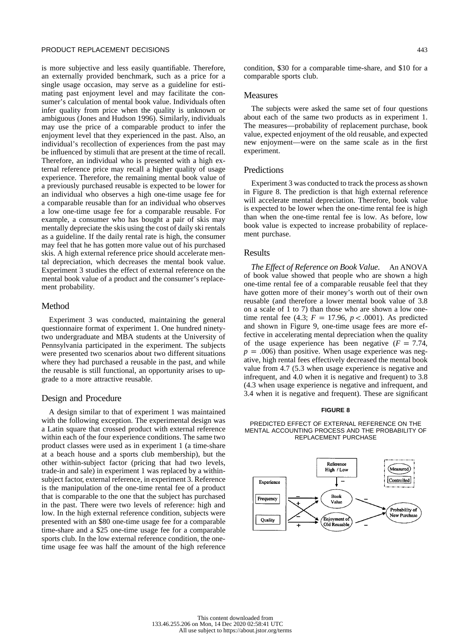is more subjective and less easily quantifiable. Therefore, an externally provided benchmark, such as a price for a single usage occasion, may serve as a guideline for estimating past enjoyment level and may facilitate the consumer's calculation of mental book value. Individuals often infer quality from price when the quality is unknown or ambiguous (Jones and Hudson 1996). Similarly, individuals may use the price of a comparable product to infer the enjoyment level that they experienced in the past. Also, an individual's recollection of experiences from the past may be influenced by stimuli that are present at the time of recall. Therefore, an individual who is presented with a high external reference price may recall a higher quality of usage experience. Therefore, the remaining mental book value of a previously purchased reusable is expected to be lower for an individual who observes a high one-time usage fee for a comparable reusable than for an individual who observes a low one-time usage fee for a comparable reusable. For example, a consumer who has bought a pair of skis may mentally depreciate the skis using the cost of daily ski rentals as a guideline. If the daily rental rate is high, the consumer may feel that he has gotten more value out of his purchased skis. A high external reference price should accelerate mental depreciation, which decreases the mental book value. Experiment 3 studies the effect of external reference on the mental book value of a product and the consumer's replacement probability.

## Method

Experiment 3 was conducted, maintaining the general questionnaire format of experiment 1. One hundred ninetytwo undergraduate and MBA students at the University of Pennsylvania participated in the experiment. The subjects were presented two scenarios about two different situations where they had purchased a reusable in the past, and while the reusable is still functional, an opportunity arises to upgrade to a more attractive reusable.

# Design and Procedure

A design similar to that of experiment 1 was maintained with the following exception. The experimental design was a Latin square that crossed product with external reference within each of the four experience conditions. The same two product classes were used as in experiment 1 (a time-share at a beach house and a sports club membership), but the other within-subject factor (pricing that had two levels, trade-in and sale) in experiment 1 was replaced by a withinsubject factor, external reference, in experiment 3. Reference is the manipulation of the one-time rental fee of a product that is comparable to the one that the subject has purchased in the past. There were two levels of reference: high and low. In the high external reference condition, subjects were presented with an \$80 one-time usage fee for a comparable time-share and a \$25 one-time usage fee for a comparable sports club. In the low external reference condition, the onetime usage fee was half the amount of the high reference

condition, \$30 for a comparable time-share, and \$10 for a comparable sports club.

## Measures

The subjects were asked the same set of four questions about each of the same two products as in experiment 1. The measures—probability of replacement purchase, book value, expected enjoyment of the old reusable, and expected new enjoyment—were on the same scale as in the first experiment.

## **Predictions**

Experiment 3 was conducted to track the process as shown in Figure 8. The prediction is that high external reference will accelerate mental depreciation. Therefore, book value is expected to be lower when the one-time rental fee is high than when the one-time rental fee is low. As before, low book value is expected to increase probability of replacement purchase.

# Results

*The Effect of Reference on Book Value.* An ANOVA of book value showed that people who are shown a high one-time rental fee of a comparable reusable feel that they have gotten more of their money's worth out of their own reusable (and therefore a lower mental book value of 3.8 on a scale of 1 to 7) than those who are shown a low onetime rental fee (4.3;  $F = 17.96$ ,  $p < .0001$ ). As predicted and shown in Figure 9, one-time usage fees are more effective in accelerating mental depreciation when the quality of the usage experience has been negative  $(F = 7.74,$  $p = .006$ ) than positive. When usage experience was negative, high rental fees effectively decreased the mental book value from 4.7 (5.3 when usage experience is negative and infrequent, and 4.0 when it is negative and frequent) to 3.8 (4.3 when usage experience is negative and infrequent, and 3.4 when it is negative and frequent). These are significant

## **FIGURE 8**

PREDICTED EFFECT OF EXTERNAL REFERENCE ON THE MENTAL ACCOUNTING PROCESS AND THE PROBABILITY OF REPLACEMENT PURCHASE

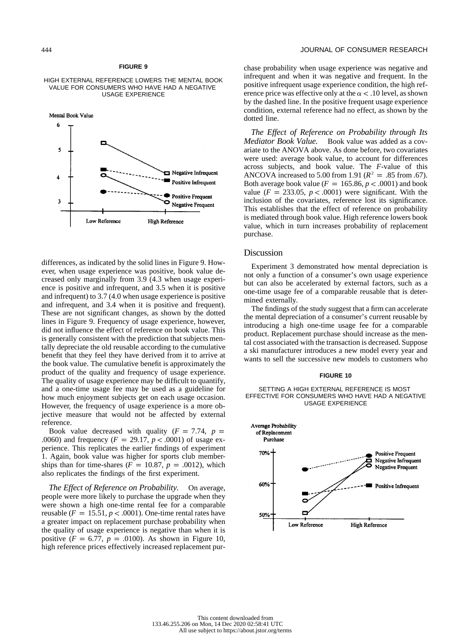#### **FIGURE 9**

HIGH EXTERNAL REFERENCE LOWERS THE MENTAL BOOK VALUE FOR CONSUMERS WHO HAVE HAD A NEGATIVE USAGE EXPERIENCE



differences, as indicated by the solid lines in Figure 9. However, when usage experience was positive, book value decreased only marginally from 3.9 (4.3 when usage experience is positive and infrequent, and 3.5 when it is positive and infrequent) to 3.7 (4.0 when usage experience is positive and infrequent, and 3.4 when it is positive and frequent). These are not significant changes, as shown by the dotted lines in Figure 9. Frequency of usage experience, however, did not influence the effect of reference on book value. This is generally consistent with the prediction that subjects mentally depreciate the old reusable according to the cumulative benefit that they feel they have derived from it to arrive at the book value. The cumulative benefit is approximately the product of the quality and frequency of usage experience. The quality of usage experience may be difficult to quantify, and a one-time usage fee may be used as a guideline for how much enjoyment subjects get on each usage occasion. However, the frequency of usage experience is a more objective measure that would not be affected by external reference.

Book value decreased with quality  $(F = 7.74, p =$ .0060) and frequency  $(F = 29.17, p < .0001)$  of usage experience. This replicates the earlier findings of experiment 1. Again, book value was higher for sports club memberships than for time-shares ( $F = 10.87$ ,  $p = .0012$ ), which also replicates the findings of the first experiment.

*The Effect of Reference on Probability.* On average, people were more likely to purchase the upgrade when they were shown a high one-time rental fee for a comparable reusable ( $F = 15.51$ ,  $p < .0001$ ). One-time rental rates have a greater impact on replacement purchase probability when the quality of usage experience is negative than when it is positive ( $F = 6.77$ ,  $p = .0100$ ). As shown in Figure 10, high reference prices effectively increased replacement pur-

chase probability when usage experience was negative and infrequent and when it was negative and frequent. In the positive infrequent usage experience condition, the high reference price was effective only at the  $\alpha$  < .10 level, as shown by the dashed line. In the positive frequent usage experience condition, external reference had no effect, as shown by the dotted line.

*The Effect of Reference on Probability through Its Mediator Book Value.* Book value was added as a covariate to the ANOVA above. As done before, two covariates were used: average book value, to account for differences across subjects, and book value. The *F*-value of this ANCOVA increased to 5.00 from 1.91 ( $R^2 = .85$  from .67). Both average book value ( $F = 165.86$ ,  $p < .0001$ ) and book value ( $F = 233.05$ ,  $p < .0001$ ) were significant. With the inclusion of the covariates, reference lost its significance. This establishes that the effect of reference on probability is mediated through book value. High reference lowers book value, which in turn increases probability of replacement purchase.

## Discussion

Experiment 3 demonstrated how mental depreciation is not only a function of a consumer's own usage experience but can also be accelerated by external factors, such as a one-time usage fee of a comparable reusable that is determined externally.

The findings of the study suggest that a firm can accelerate the mental depreciation of a consumer's current reusable by introducing a high one-time usage fee for a comparable product. Replacement purchase should increase as the mental cost associated with the transaction is decreased. Suppose a ski manufacturer introduces a new model every year and wants to sell the successive new models to customers who

#### **FIGURE 10**

#### SETTING A HIGH EXTERNAL REFERENCE IS MOST EFFECTIVE FOR CONSUMERS WHO HAVE HAD A NEGATIVE USAGE EXPERIENCE

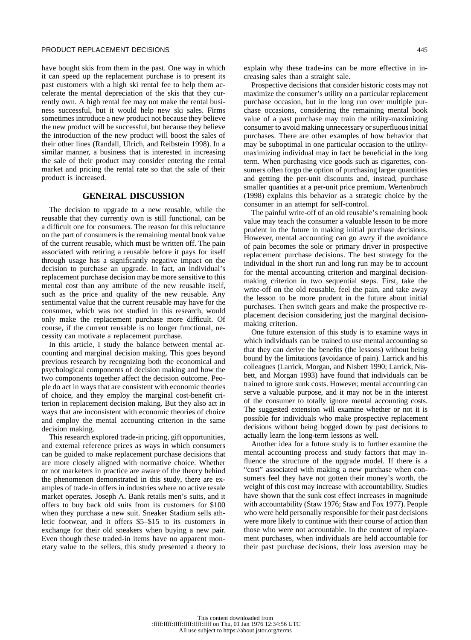have bought skis from them in the past. One way in which it can speed up the replacement purchase is to present its past customers with a high ski rental fee to help them accelerate the mental depreciation of the skis that they currently own. A high rental fee may not make the rental business successful, but it would help new ski sales. Firms sometimes introduce a new product not because they believe the new product will be successful, but because they believe the introduction of the new product will boost the sales of their other lines (Randall, Ulrich, and Reibstein 1998). In a similar manner, a business that is interested in increasing the sale of their product may consider entering the rental market and pricing the rental rate so that the sale of their product is increased.

# **GENERAL DISCUSSION**

The decision to upgrade to a new reusable, while the reusable that they currently own is still functional, can be a difficult one for consumers. The reason for this reluctance on the part of consumers is the remaining mental book value of the current reusable, which must be written off. The pain associated with retiring a reusable before it pays for itself through usage has a significantly negative impact on the decision to purchase an upgrade. In fact, an individual's replacement purchase decision may be more sensitive to this mental cost than any attribute of the new reusable itself, such as the price and quality of the new reusable. Any sentimental value that the current reusable may have for the consumer, which was not studied in this research, would only make the replacement purchase more difficult. Of course, if the current reusable is no longer functional, necessity can motivate a replacement purchase.

In this article, I study the balance between mental accounting and marginal decision making. This goes beyond previous research by recognizing both the economical and psychological components of decision making and how the two components together affect the decision outcome. People do act in ways that are consistent with economic theories of choice, and they employ the marginal cost-benefit criterion in replacement decision making. But they also act in ways that are inconsistent with economic theories of choice and employ the mental accounting criterion in the same decision making.

This research explored trade-in pricing, gift opportunities, and external reference prices as ways in which consumers can be guided to make replacement purchase decisions that are more closely aligned with normative choice. Whether or not marketers in practice are aware of the theory behind the phenomenon demonstrated in this study, there are examples of trade-in offers in industries where no active resale market operates. Joseph A. Bank retails men's suits, and it offers to buy back old suits from its customers for \$100 when they purchase a new suit. Sneaker Stadium sells athletic footwear, and it offers \$5–\$15 to its customers in exchange for their old sneakers when buying a new pair. Even though these traded-in items have no apparent monetary value to the sellers, this study presented a theory to explain why these trade-ins can be more effective in increasing sales than a straight sale.

Prospective decisions that consider historic costs may not maximize the consumer's utility on a particular replacement purchase occasion, but in the long run over multiple purchase occasions, considering the remaining mental book value of a past purchase may train the utility-maximizing consumer to avoid making unnecessary or superfluous initial purchases. There are other examples of how behavior that may be suboptimal in one particular occasion to the utilitymaximizing individual may in fact be beneficial in the long term. When purchasing vice goods such as cigarettes, consumers often forgo the option of purchasing larger quantities and getting the per-unit discounts and, instead, purchase smaller quantities at a per-unit price premium. Wertenbroch (1998) explains this behavior as a strategic choice by the consumer in an attempt for self-control.

The painful write-off of an old reusable's remaining book value may teach the consumer a valuable lesson to be more prudent in the future in making initial purchase decisions. However, mental accounting can go awry if the avoidance of pain becomes the sole or primary driver in prospective replacement purchase decisions. The best strategy for the individual in the short run and long run may be to account for the mental accounting criterion and marginal decisionmaking criterion in two sequential steps. First, take the write-off on the old reusable, feel the pain, and take away the lesson to be more prudent in the future about initial purchases. Then switch gears and make the prospective replacement decision considering just the marginal decisionmaking criterion.

One future extension of this study is to examine ways in which individuals can be trained to use mental accounting so that they can derive the benefits (the lessons) without being bound by the limitations (avoidance of pain). Larrick and his colleagues (Larrick, Morgan, and Nisbett 1990; Larrick, Nisbett, and Morgan 1993) have found that individuals can be trained to ignore sunk costs. However, mental accounting can serve a valuable purpose, and it may not be in the interest of the consumer to totally ignore mental accounting costs. The suggested extension will examine whether or not it is possible for individuals who make prospective replacement decisions without being bogged down by past decisions to actually learn the long-term lessons as well.

Another idea for a future study is to further examine the mental accounting process and study factors that may influence the structure of the upgrade model. If there is a "cost" associated with making a new purchase when consumers feel they have not gotten their money's worth, the weight of this cost may increase with accountability. Studies have shown that the sunk cost effect increases in magnitude with accountability (Staw 1976; Staw and Fox 1977). People who were held personally responsible for their past decisions were more likely to continue with their course of action than those who were not accountable. In the context of replacement purchases, when individuals are held accountable for their past purchase decisions, their loss aversion may be